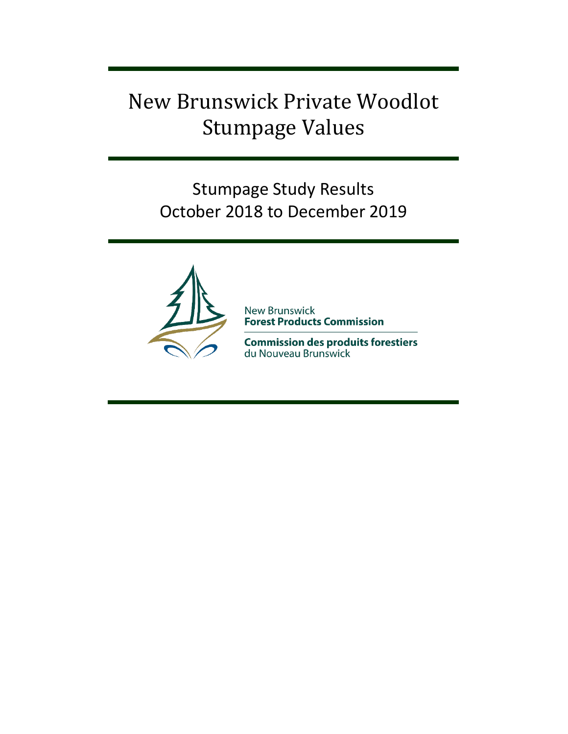# New Brunswick Private Woodlot Stumpage Values

Stumpage Study Results October 2018 to December 2019



**New Brunswick<br>Forest Products Commission** 

**Commission des produits forestiers** du Nouveau Brunswick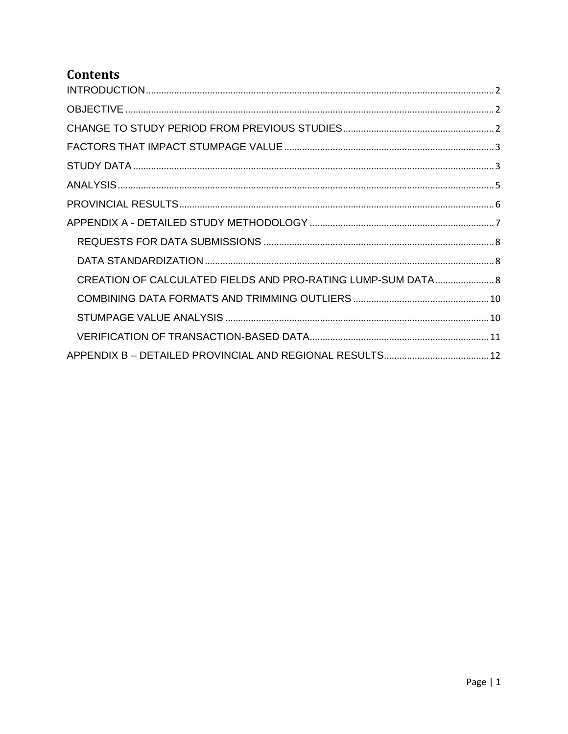# **Contents**

| CREATION OF CALCULATED FIELDS AND PRO-RATING LUMP-SUM DATA 8 |
|--------------------------------------------------------------|
|                                                              |
|                                                              |
|                                                              |
|                                                              |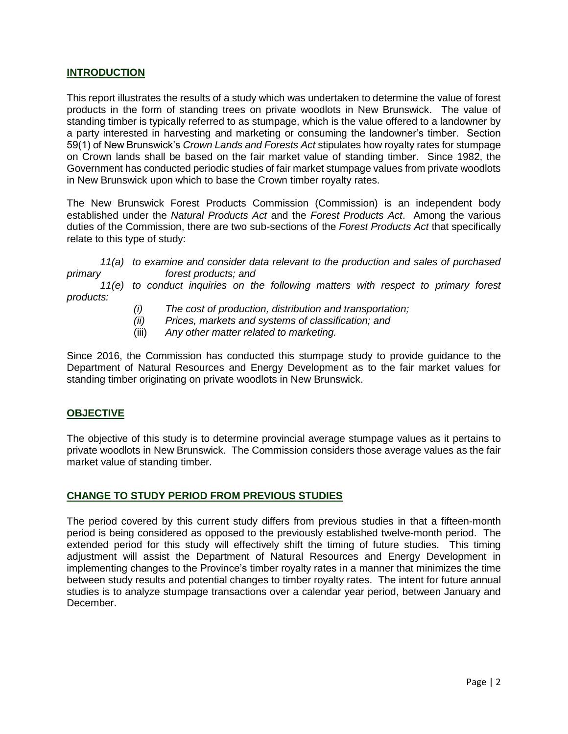#### <span id="page-2-0"></span>**INTRODUCTION**

This report illustrates the results of a study which was undertaken to determine the value of forest products in the form of standing trees on private woodlots in New Brunswick. The value of standing timber is typically referred to as stumpage, which is the value offered to a landowner by a party interested in harvesting and marketing or consuming the landowner's timber. Section 59(1) of New Brunswick's *Crown Lands and Forests Act* stipulates how royalty rates for stumpage on Crown lands shall be based on the fair market value of standing timber. Since 1982, the Government has conducted periodic studies of fair market stumpage values from private woodlots in New Brunswick upon which to base the Crown timber royalty rates.

The New Brunswick Forest Products Commission (Commission) is an independent body established under the *Natural Products Act* and the *Forest Products Act*. Among the various duties of the Commission, there are two sub-sections of the *Forest Products Act* that specifically relate to this type of study:

#### *11(a) to examine and consider data relevant to the production and sales of purchased primary forest products; and*

*11(e) to conduct inquiries on the following matters with respect to primary forest products:*

- *(i) The cost of production, distribution and transportation;*
- *(ii) Prices, markets and systems of classification; and*
- (iii) *Any other matter related to marketing.*

Since 2016, the Commission has conducted this stumpage study to provide guidance to the Department of Natural Resources and Energy Development as to the fair market values for standing timber originating on private woodlots in New Brunswick.

#### <span id="page-2-1"></span>**OBJECTIVE**

The objective of this study is to determine provincial average stumpage values as it pertains to private woodlots in New Brunswick. The Commission considers those average values as the fair market value of standing timber.

#### <span id="page-2-2"></span>**CHANGE TO STUDY PERIOD FROM PREVIOUS STUDIES**

The period covered by this current study differs from previous studies in that a fifteen-month period is being considered as opposed to the previously established twelve-month period. The extended period for this study will effectively shift the timing of future studies. This timing adjustment will assist the Department of Natural Resources and Energy Development in implementing changes to the Province's timber royalty rates in a manner that minimizes the time between study results and potential changes to timber royalty rates. The intent for future annual studies is to analyze stumpage transactions over a calendar year period, between January and December.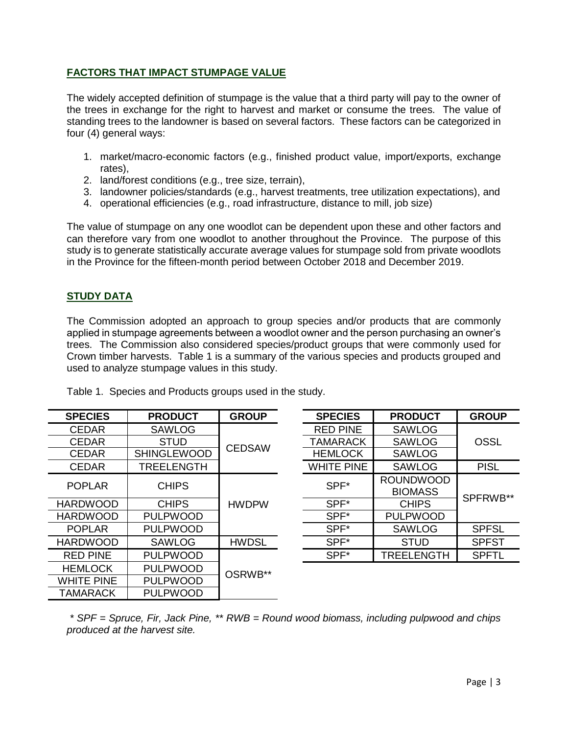# <span id="page-3-0"></span>**FACTORS THAT IMPACT STUMPAGE VALUE**

The widely accepted definition of stumpage is the value that a third party will pay to the owner of the trees in exchange for the right to harvest and market or consume the trees. The value of standing trees to the landowner is based on several factors. These factors can be categorized in four (4) general ways:

- 1. market/macro-economic factors (e.g., finished product value, import/exports, exchange rates),
- 2. land/forest conditions (e.g., tree size, terrain),
- 3. landowner policies/standards (e.g., harvest treatments, tree utilization expectations), and
- 4. operational efficiencies (e.g., road infrastructure, distance to mill, job size)

The value of stumpage on any one woodlot can be dependent upon these and other factors and can therefore vary from one woodlot to another throughout the Province. The purpose of this study is to generate statistically accurate average values for stumpage sold from private woodlots in the Province for the fifteen-month period between October 2018 and December 2019.

# <span id="page-3-1"></span>**STUDY DATA**

The Commission adopted an approach to group species and/or products that are commonly applied in stumpage agreements between a woodlot owner and the person purchasing an owner's trees. The Commission also considered species/product groups that were commonly used for Crown timber harvests. Table 1 is a summary of the various species and products grouped and used to analyze stumpage values in this study.

| <b>PRODUCT</b>     | <b>GROUP</b> | <b>SPECIES</b>           | <b>PRODUCT</b>                     | <b>GROUP</b> |
|--------------------|--------------|--------------------------|------------------------------------|--------------|
| <b>SAWLOG</b>      |              | <b>RED PINE</b>          | <b>SAWLOG</b>                      |              |
| <b>STUD</b>        |              | TAMARACK                 | SAWLOG                             | <b>OSSL</b>  |
| <b>SHINGLEWOOD</b> |              | <b>HEMLOCK</b>           | SAWLOG                             |              |
| <b>TREELENGTH</b>  |              | <b>WHITE PINE</b>        | <b>SAWLOG</b>                      | <b>PISL</b>  |
| <b>CHIPS</b>       | <b>HWDPW</b> | SPF*                     | <b>ROUNDWOOD</b><br><b>BIOMASS</b> |              |
| <b>CHIPS</b>       |              | SPF*                     | <b>CHIPS</b>                       | SPFRWB**     |
| <b>PULPWOOD</b>    |              | SPF <sup>*</sup>         | <b>PULPWOOD</b>                    |              |
| <b>PULPWOOD</b>    |              | SPF*                     | <b>SAWLOG</b>                      | <b>SPFSL</b> |
| <b>SAWLOG</b>      | <b>HWDSL</b> | SPF*                     | <b>STUD</b>                        | <b>SPFST</b> |
| <b>PULPWOOD</b>    |              | SPF*                     | <b>TREELENGTH</b>                  | <b>SPFTL</b> |
| <b>PULPWOOD</b>    |              |                          |                                    |              |
| <b>PULPWOOD</b>    |              |                          |                                    |              |
| <b>PULPWOOD</b>    |              |                          |                                    |              |
|                    |              | <b>CEDSAW</b><br>OSRWB** |                                    |              |

Table 1. Species and Products groups used in the study.

| <b>SPECIES</b>    | <b>PRODUCT</b>    | <b>GROUP</b> |
|-------------------|-------------------|--------------|
| <b>RED PINE</b>   | <b>SAWLOG</b>     |              |
| <b>TAMARACK</b>   | <b>SAWLOG</b>     | <b>OSSL</b>  |
| <b>HEMLOCK</b>    | <b>SAWLOG</b>     |              |
| <b>WHITE PINE</b> | <b>SAWLOG</b>     | <b>PISL</b>  |
|                   | <b>ROUNDWOOD</b>  |              |
| SPF*              | <b>BIOMASS</b>    | SPFRWB**     |
| SPF*              | <b>CHIPS</b>      |              |
| SPF*              | <b>PULPWOOD</b>   |              |
| SPF*              | <b>SAWLOG</b>     | <b>SPFSL</b> |
| SPF*              | <b>STUD</b>       | <b>SPFST</b> |
| SPF*              | <b>TREELENGTH</b> | <b>SPFTL</b> |
|                   |                   |              |

*\* SPF = Spruce, Fir, Jack Pine, \*\* RWB = Round wood biomass, including pulpwood and chips produced at the harvest site.*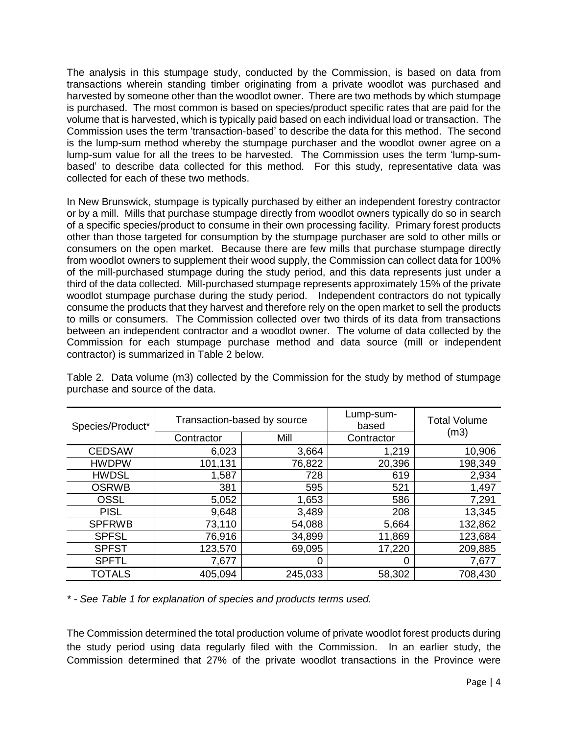The analysis in this stumpage study, conducted by the Commission, is based on data from transactions wherein standing timber originating from a private woodlot was purchased and harvested by someone other than the woodlot owner. There are two methods by which stumpage is purchased. The most common is based on species/product specific rates that are paid for the volume that is harvested, which is typically paid based on each individual load or transaction. The Commission uses the term 'transaction-based' to describe the data for this method. The second is the lump-sum method whereby the stumpage purchaser and the woodlot owner agree on a lump-sum value for all the trees to be harvested. The Commission uses the term 'lump-sumbased' to describe data collected for this method. For this study, representative data was collected for each of these two methods.

In New Brunswick, stumpage is typically purchased by either an independent forestry contractor or by a mill. Mills that purchase stumpage directly from woodlot owners typically do so in search of a specific species/product to consume in their own processing facility. Primary forest products other than those targeted for consumption by the stumpage purchaser are sold to other mills or consumers on the open market. Because there are few mills that purchase stumpage directly from woodlot owners to supplement their wood supply, the Commission can collect data for 100% of the mill-purchased stumpage during the study period, and this data represents just under a third of the data collected. Mill-purchased stumpage represents approximately 15% of the private woodlot stumpage purchase during the study period. Independent contractors do not typically consume the products that they harvest and therefore rely on the open market to sell the products to mills or consumers. The Commission collected over two thirds of its data from transactions between an independent contractor and a woodlot owner. The volume of data collected by the Commission for each stumpage purchase method and data source (mill or independent contractor) is summarized in Table 2 below.

| Species/Product* | Transaction-based by source |         | Lump-sum-<br>based | <b>Total Volume</b> |  |
|------------------|-----------------------------|---------|--------------------|---------------------|--|
|                  | Contractor                  | Mill    | Contractor         | (m3)                |  |
| <b>CEDSAW</b>    | 6,023                       | 3,664   | 1,219              | 10,906              |  |
| <b>HWDPW</b>     | 101,131                     | 76,822  | 20,396             | 198,349             |  |
| <b>HWDSL</b>     | 1,587                       | 728     | 619                | 2,934               |  |
| <b>OSRWB</b>     | 381                         | 595     | 521                | 1,497               |  |
| <b>OSSL</b>      | 5,052                       | 1,653   | 586                | 7,291               |  |
| <b>PISL</b>      | 9,648                       | 3,489   | 208                | 13,345              |  |
| <b>SPFRWB</b>    | 73,110                      | 54,088  | 5,664              | 132,862             |  |
| <b>SPFSL</b>     | 76,916                      | 34,899  | 11,869             | 123,684             |  |
| <b>SPFST</b>     | 123,570                     | 69,095  | 17,220             | 209,885             |  |
| <b>SPFTL</b>     | 7,677                       |         | 0                  | 7,677               |  |
| <b>TOTALS</b>    | 405,094                     | 245,033 | 58,302             | 708,430             |  |

Table 2. Data volume (m3) collected by the Commission for the study by method of stumpage purchase and source of the data.

*\* - See Table 1 for explanation of species and products terms used.*

The Commission determined the total production volume of private woodlot forest products during the study period using data regularly filed with the Commission. In an earlier study, the Commission determined that 27% of the private woodlot transactions in the Province were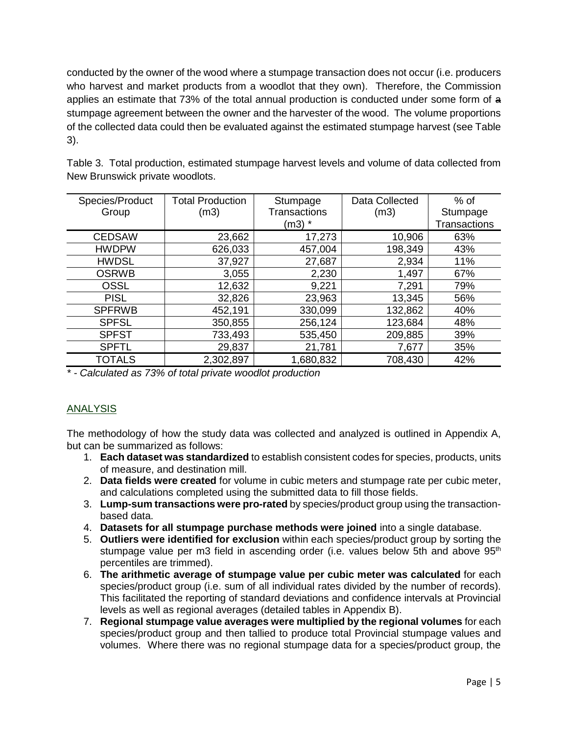conducted by the owner of the wood where a stumpage transaction does not occur (i.e. producers who harvest and market products from a woodlot that they own). Therefore, the Commission applies an estimate that 73% of the total annual production is conducted under some form of a stumpage agreement between the owner and the harvester of the wood. The volume proportions of the collected data could then be evaluated against the estimated stumpage harvest (see Table 3).

| Species/Product | <b>Total Production</b> | Stumpage     | Data Collected | $%$ of              |
|-----------------|-------------------------|--------------|----------------|---------------------|
| Group           | (m3)                    | Transactions | (m3)           | Stumpage            |
|                 |                         | (m3) *       |                | <b>Transactions</b> |
| <b>CEDSAW</b>   | 23,662                  | 17,273       | 10,906         | 63%                 |
| <b>HWDPW</b>    | 626,033                 | 457,004      | 198,349        | 43%                 |
| <b>HWDSL</b>    | 37,927                  | 27,687       | 2,934          | 11%                 |
| <b>OSRWB</b>    | 3,055                   | 2,230        | 1,497          | 67%                 |
| <b>OSSL</b>     | 12,632                  | 9,221        | 7,291          | 79%                 |
| <b>PISL</b>     | 32,826                  | 23,963       | 13,345         | 56%                 |
| <b>SPFRWB</b>   | 452,191                 | 330,099      | 132,862        | 40%                 |
| <b>SPFSL</b>    | 350,855                 | 256,124      | 123,684        | 48%                 |
| <b>SPFST</b>    | 733,493                 | 535,450      | 209,885        | 39%                 |
| <b>SPFTL</b>    | 29,837                  | 21,781       | 7,677          | 35%                 |
| <b>TOTALS</b>   | 2,302,897               | 1,680,832    | 708,430        | 42%                 |

Table 3. Total production, estimated stumpage harvest levels and volume of data collected from New Brunswick private woodlots.

*\* - Calculated as 73% of total private woodlot production*

#### <span id="page-5-0"></span>ANALYSIS

The methodology of how the study data was collected and analyzed is outlined in Appendix A, but can be summarized as follows:

- 1. **Each dataset was standardized** to establish consistent codes for species, products, units of measure, and destination mill.
- 2. **Data fields were created** for volume in cubic meters and stumpage rate per cubic meter, and calculations completed using the submitted data to fill those fields.
- 3. **Lump-sum transactions were pro-rated** by species/product group using the transactionbased data.
- 4. **Datasets for all stumpage purchase methods were joined** into a single database.
- 5. **Outliers were identified for exclusion** within each species/product group by sorting the stumpage value per m3 field in ascending order (i.e. values below 5th and above 95<sup>th</sup> percentiles are trimmed).
- 6. **The arithmetic average of stumpage value per cubic meter was calculated** for each species/product group (i.e. sum of all individual rates divided by the number of records). This facilitated the reporting of standard deviations and confidence intervals at Provincial levels as well as regional averages (detailed tables in Appendix B).
- 7. **Regional stumpage value averages were multiplied by the regional volumes** for each species/product group and then tallied to produce total Provincial stumpage values and volumes. Where there was no regional stumpage data for a species/product group, the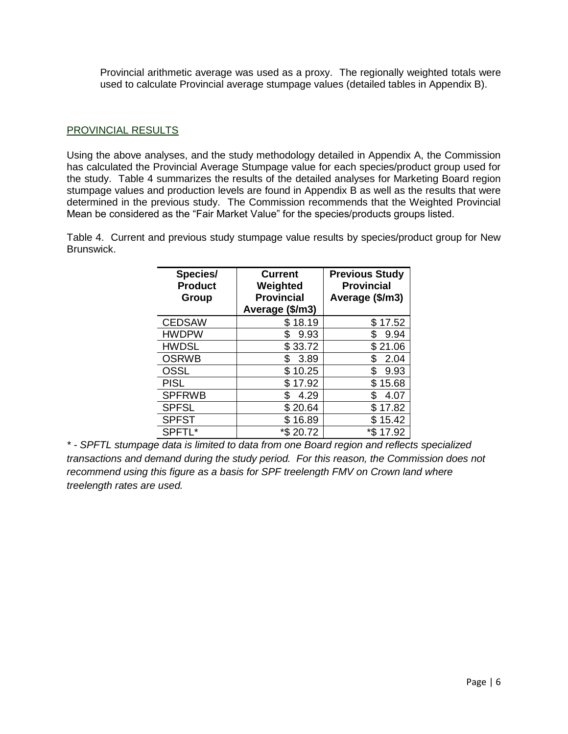Provincial arithmetic average was used as a proxy. The regionally weighted totals were used to calculate Provincial average stumpage values (detailed tables in Appendix B).

#### <span id="page-6-0"></span>PROVINCIAL RESULTS

Using the above analyses, and the study methodology detailed in Appendix A, the Commission has calculated the Provincial Average Stumpage value for each species/product group used for the study. Table 4 summarizes the results of the detailed analyses for Marketing Board region stumpage values and production levels are found in Appendix B as well as the results that were determined in the previous study. The Commission recommends that the Weighted Provincial Mean be considered as the "Fair Market Value" for the species/products groups listed.

Table 4. Current and previous study stumpage value results by species/product group for New Brunswick.

| Species/<br><b>Product</b><br>Group | <b>Current</b><br>Weighted<br><b>Provincial</b><br>Average (\$/m3) | <b>Previous Study</b><br><b>Provincial</b><br>Average (\$/m3) |
|-------------------------------------|--------------------------------------------------------------------|---------------------------------------------------------------|
| <b>CEDSAW</b>                       | 18.19                                                              | \$17.52                                                       |
| <b>HWDPW</b>                        | 9.93<br>\$                                                         | \$<br>9.94                                                    |
| <b>HWDSL</b>                        | \$33.72                                                            | \$21.06                                                       |
| <b>OSRWB</b>                        | 3.89<br>S                                                          | \$<br>2.04                                                    |
| <b>OSSL</b>                         | 10.25<br>\$                                                        | \$<br>9.93                                                    |
| <b>PISL</b>                         | 17.92<br>\$                                                        | \$<br>15.68                                                   |
| <b>SPFRWB</b>                       | S<br>4.29                                                          | \$<br>4.07                                                    |
| <b>SPFSL</b>                        | \$20.64                                                            | \$17.82                                                       |
| <b>SPFST</b>                        | 16.89                                                              | \$15.42                                                       |
| SPFTL*                              | *\$ 20.72                                                          | *\$<br>17.92                                                  |

*\* - SPFTL stumpage data is limited to data from one Board region and reflects specialized transactions and demand during the study period. For this reason, the Commission does not recommend using this figure as a basis for SPF treelength FMV on Crown land where treelength rates are used.*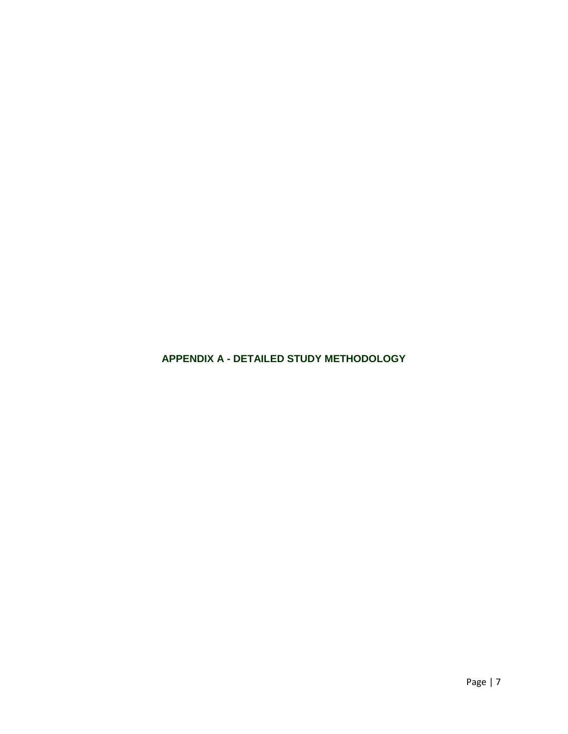<span id="page-7-0"></span>**APPENDIX A - DETAILED STUDY METHODOLOGY**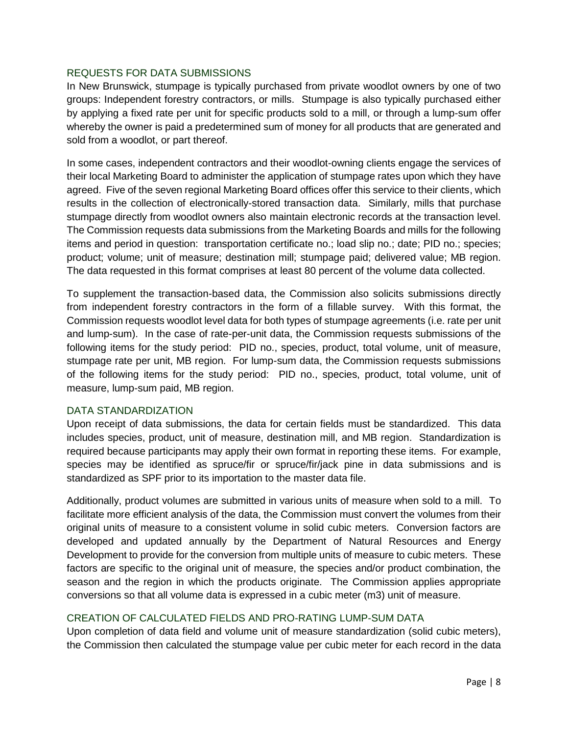#### <span id="page-8-0"></span>REQUESTS FOR DATA SUBMISSIONS

In New Brunswick, stumpage is typically purchased from private woodlot owners by one of two groups: Independent forestry contractors, or mills. Stumpage is also typically purchased either by applying a fixed rate per unit for specific products sold to a mill, or through a lump-sum offer whereby the owner is paid a predetermined sum of money for all products that are generated and sold from a woodlot, or part thereof.

In some cases, independent contractors and their woodlot-owning clients engage the services of their local Marketing Board to administer the application of stumpage rates upon which they have agreed. Five of the seven regional Marketing Board offices offer this service to their clients, which results in the collection of electronically-stored transaction data. Similarly, mills that purchase stumpage directly from woodlot owners also maintain electronic records at the transaction level. The Commission requests data submissions from the Marketing Boards and mills for the following items and period in question: transportation certificate no.; load slip no.; date; PID no.; species; product; volume; unit of measure; destination mill; stumpage paid; delivered value; MB region. The data requested in this format comprises at least 80 percent of the volume data collected.

To supplement the transaction-based data, the Commission also solicits submissions directly from independent forestry contractors in the form of a fillable survey. With this format, the Commission requests woodlot level data for both types of stumpage agreements (i.e. rate per unit and lump-sum). In the case of rate-per-unit data, the Commission requests submissions of the following items for the study period: PID no., species, product, total volume, unit of measure, stumpage rate per unit, MB region. For lump-sum data, the Commission requests submissions of the following items for the study period: PID no., species, product, total volume, unit of measure, lump-sum paid, MB region.

#### <span id="page-8-1"></span>DATA STANDARDIZATION

Upon receipt of data submissions, the data for certain fields must be standardized. This data includes species, product, unit of measure, destination mill, and MB region. Standardization is required because participants may apply their own format in reporting these items. For example, species may be identified as spruce/fir or spruce/fir/jack pine in data submissions and is standardized as SPF prior to its importation to the master data file.

Additionally, product volumes are submitted in various units of measure when sold to a mill. To facilitate more efficient analysis of the data, the Commission must convert the volumes from their original units of measure to a consistent volume in solid cubic meters. Conversion factors are developed and updated annually by the Department of Natural Resources and Energy Development to provide for the conversion from multiple units of measure to cubic meters. These factors are specific to the original unit of measure, the species and/or product combination, the season and the region in which the products originate. The Commission applies appropriate conversions so that all volume data is expressed in a cubic meter (m3) unit of measure.

#### <span id="page-8-2"></span>CREATION OF CALCULATED FIELDS AND PRO-RATING LUMP-SUM DATA

Upon completion of data field and volume unit of measure standardization (solid cubic meters), the Commission then calculated the stumpage value per cubic meter for each record in the data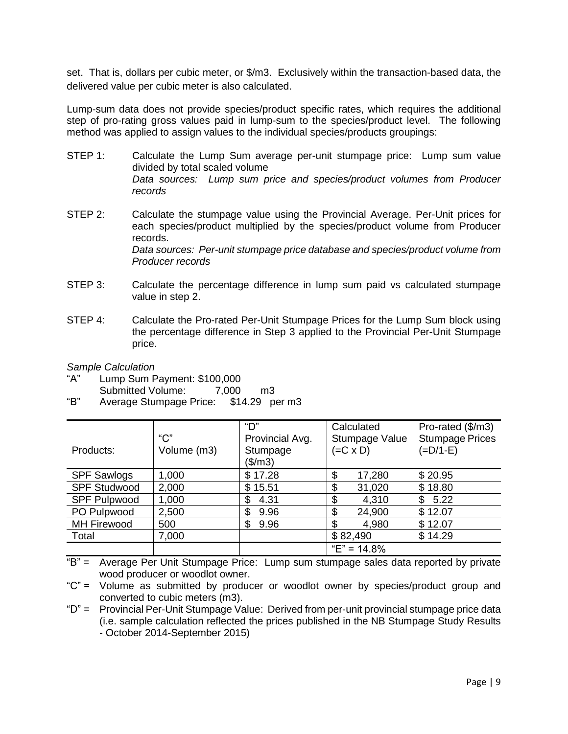set. That is, dollars per cubic meter, or \$/m3. Exclusively within the transaction-based data, the delivered value per cubic meter is also calculated.

Lump-sum data does not provide species/product specific rates, which requires the additional step of pro-rating gross values paid in lump-sum to the species/product level. The following method was applied to assign values to the individual species/products groupings:

- STEP 1: Calculate the Lump Sum average per-unit stumpage price: Lump sum value divided by total scaled volume *Data sources: Lump sum price and species/product volumes from Producer records*
- STEP 2: Calculate the stumpage value using the Provincial Average. Per-Unit prices for each species/product multiplied by the species/product volume from Producer records. *Data sources: Per-unit stumpage price database and species/product volume from Producer records*
- STEP 3: Calculate the percentage difference in lump sum paid vs calculated stumpage value in step 2.
- STEP 4: Calculate the Pro-rated Per-Unit Stumpage Prices for the Lump Sum block using the percentage difference in Step 3 applied to the Provincial Per-Unit Stumpage price.

*Sample Calculation*

- "A" Lump Sum Payment: \$100,000 Submitted Volume: 7,000 m3
- "B" Average Stumpage Price: \$14.29 per m3

| Products:           | $C$ "<br>Volume (m3) | "D"<br>Provincial Avg.<br>Stumpage<br>(\$/m3) | Calculated<br>Stumpage Value<br>$(=C \times D)$ | Pro-rated (\$/m3)<br><b>Stumpage Prices</b><br>$(=D/1-E)$ |
|---------------------|----------------------|-----------------------------------------------|-------------------------------------------------|-----------------------------------------------------------|
| <b>SPF Sawlogs</b>  | 1,000                | \$17.28                                       | \$<br>17,280                                    | \$20.95                                                   |
| <b>SPF Studwood</b> | 2,000                | \$15.51                                       | \$<br>31,020                                    | \$18.80                                                   |
| <b>SPF Pulpwood</b> | 1,000                | 4.31<br>\$                                    | \$<br>4,310                                     | 5.22<br>\$                                                |
| PO Pulpwood         | 2,500                | \$<br>9.96                                    | \$<br>24,900                                    | \$12.07                                                   |
| <b>MH Firewood</b>  | 500                  | \$<br>9.96                                    | \$<br>4,980                                     | \$12.07                                                   |
| Total               | 7,000                |                                               | \$82,490                                        | \$14.29                                                   |
|                     |                      |                                               | "E" = $14.8\%$                                  |                                                           |

 $E^* =$  Average Per Unit Stumpage Price: Lump sum stumpage sales data reported by private wood producer or woodlot owner.

<sup>&</sup>quot;C" = Volume as submitted by producer or woodlot owner by species/product group and converted to cubic meters (m3).

<sup>&</sup>quot;D" = Provincial Per-Unit Stumpage Value: Derived from per-unit provincial stumpage price data (i.e. sample calculation reflected the prices published in the NB Stumpage Study Results - October 2014-September 2015)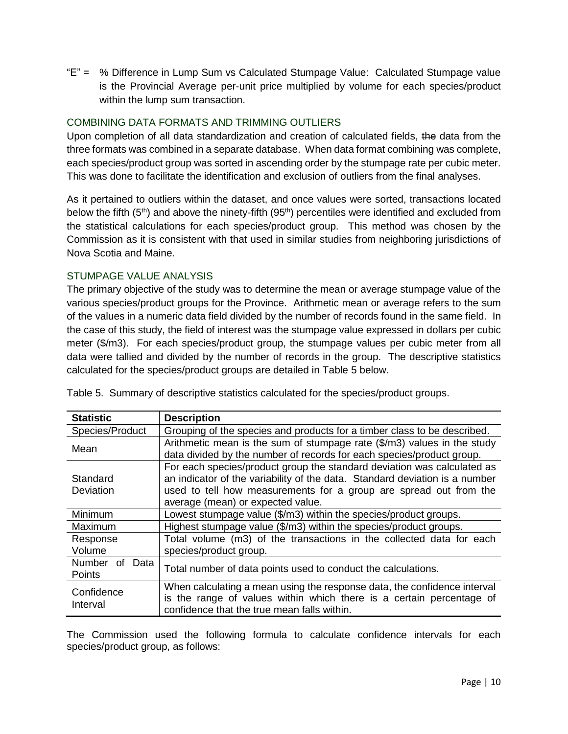"E" = % Difference in Lump Sum vs Calculated Stumpage Value: Calculated Stumpage value is the Provincial Average per-unit price multiplied by volume for each species/product within the lump sum transaction.

# <span id="page-10-0"></span>COMBINING DATA FORMATS AND TRIMMING OUTLIERS

Upon completion of all data standardization and creation of calculated fields, the data from the three formats was combined in a separate database. When data format combining was complete, each species/product group was sorted in ascending order by the stumpage rate per cubic meter. This was done to facilitate the identification and exclusion of outliers from the final analyses.

As it pertained to outliers within the dataset, and once values were sorted, transactions located below the fifth  $(5<sup>th</sup>)$  and above the ninety-fifth  $(95<sup>th</sup>)$  percentiles were identified and excluded from the statistical calculations for each species/product group. This method was chosen by the Commission as it is consistent with that used in similar studies from neighboring jurisdictions of Nova Scotia and Maine.

# <span id="page-10-1"></span>STUMPAGE VALUE ANALYSIS

The primary objective of the study was to determine the mean or average stumpage value of the various species/product groups for the Province. Arithmetic mean or average refers to the sum of the values in a numeric data field divided by the number of records found in the same field. In the case of this study, the field of interest was the stumpage value expressed in dollars per cubic meter (\$/m3). For each species/product group, the stumpage values per cubic meter from all data were tallied and divided by the number of records in the group. The descriptive statistics calculated for the species/product groups are detailed in Table 5 below.

| <b>Statistic</b>               | <b>Description</b>                                                                                                                                                                                                                                               |
|--------------------------------|------------------------------------------------------------------------------------------------------------------------------------------------------------------------------------------------------------------------------------------------------------------|
| Species/Product                | Grouping of the species and products for a timber class to be described.                                                                                                                                                                                         |
| Mean                           | Arithmetic mean is the sum of stumpage rate (\$/m3) values in the study<br>data divided by the number of records for each species/product group.                                                                                                                 |
| Standard<br>Deviation          | For each species/product group the standard deviation was calculated as<br>an indicator of the variability of the data. Standard deviation is a number<br>used to tell how measurements for a group are spread out from the<br>average (mean) or expected value. |
| Minimum                        | Lowest stumpage value (\$/m3) within the species/product groups.                                                                                                                                                                                                 |
| Maximum                        | Highest stumpage value (\$/m3) within the species/product groups.                                                                                                                                                                                                |
| Response<br>Volume             | Total volume (m3) of the transactions in the collected data for each<br>species/product group.                                                                                                                                                                   |
| Number<br>0f<br>Data<br>Points | Total number of data points used to conduct the calculations.                                                                                                                                                                                                    |
| Confidence<br>Interval         | When calculating a mean using the response data, the confidence interval<br>is the range of values within which there is a certain percentage of<br>confidence that the true mean falls within.                                                                  |

Table 5. Summary of descriptive statistics calculated for the species/product groups.

The Commission used the following formula to calculate confidence intervals for each species/product group, as follows: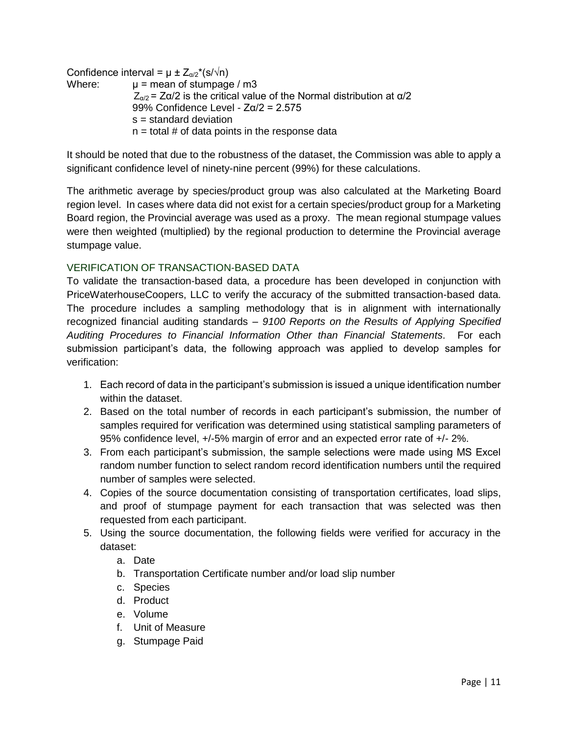Confidence interval =  $\mu \pm Z_{\alpha/2}^*(s/\sqrt{n})$ Where:  $\mu$  = mean of stumpage / m3  $Z_{\alpha/2}$  = Z $\alpha/2$  is the critical value of the Normal distribution at  $\alpha/2$ 99% Confidence Level - Zα/2 = 2.575 s = standard deviation  $n =$  total # of data points in the response data

It should be noted that due to the robustness of the dataset, the Commission was able to apply a significant confidence level of ninety-nine percent (99%) for these calculations.

The arithmetic average by species/product group was also calculated at the Marketing Board region level. In cases where data did not exist for a certain species/product group for a Marketing Board region, the Provincial average was used as a proxy. The mean regional stumpage values were then weighted (multiplied) by the regional production to determine the Provincial average stumpage value.

# <span id="page-11-0"></span>VERIFICATION OF TRANSACTION-BASED DATA

To validate the transaction-based data, a procedure has been developed in conjunction with PriceWaterhouseCoopers, LLC to verify the accuracy of the submitted transaction-based data. The procedure includes a sampling methodology that is in alignment with internationally recognized financial auditing standards – *9100 Reports on the Results of Applying Specified Auditing Procedures to Financial Information Other than Financial Statements*. For each submission participant's data, the following approach was applied to develop samples for verification:

- 1. Each record of data in the participant's submission is issued a unique identification number within the dataset.
- 2. Based on the total number of records in each participant's submission, the number of samples required for verification was determined using statistical sampling parameters of 95% confidence level, +/-5% margin of error and an expected error rate of +/- 2%.
- 3. From each participant's submission, the sample selections were made using MS Excel random number function to select random record identification numbers until the required number of samples were selected.
- 4. Copies of the source documentation consisting of transportation certificates, load slips, and proof of stumpage payment for each transaction that was selected was then requested from each participant.
- 5. Using the source documentation, the following fields were verified for accuracy in the dataset:
	- a. Date
	- b. Transportation Certificate number and/or load slip number
	- c. Species
	- d. Product
	- e. Volume
	- f. Unit of Measure
	- g. Stumpage Paid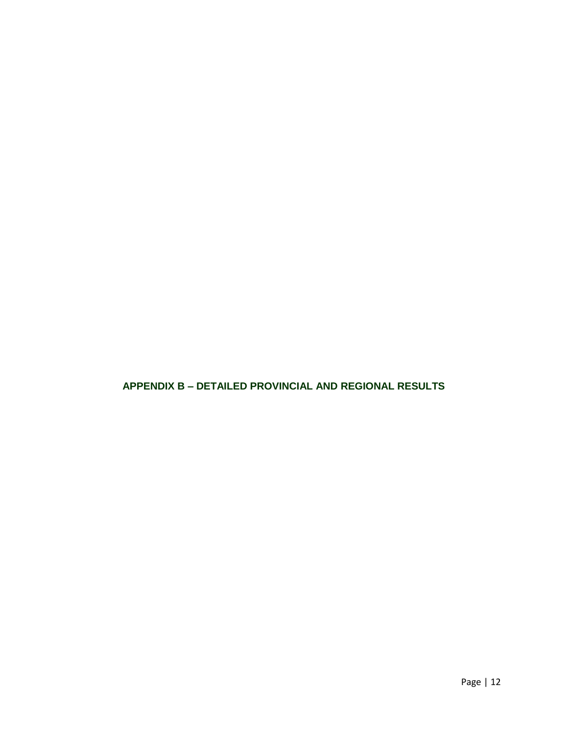<span id="page-12-0"></span>**APPENDIX B – DETAILED PROVINCIAL AND REGIONAL RESULTS**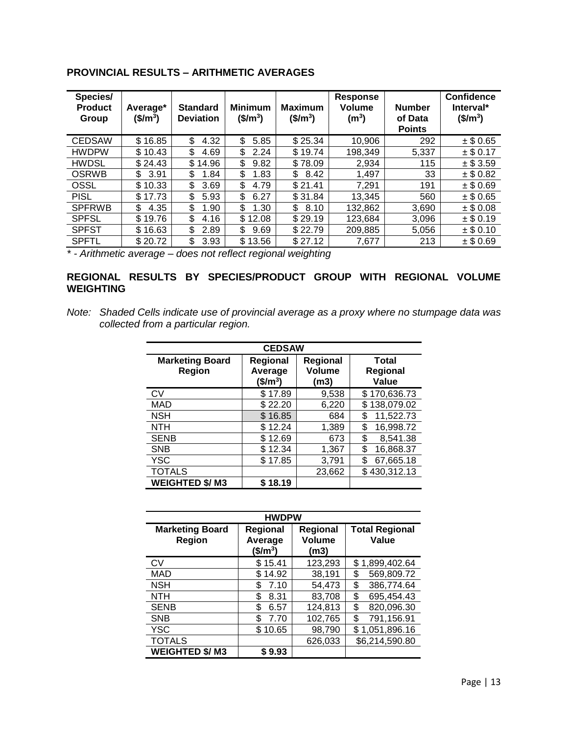| Species/<br><b>Product</b><br>Group | Average*<br>$$/m^3$$ | <b>Standard</b><br><b>Deviation</b> | <b>Minimum</b><br>(\$/m <sup>3</sup> ) | <b>Maximum</b><br>$$/m^3$$ | <b>Response</b><br>Volume<br>$(m^3)$ | <b>Number</b><br>of Data<br><b>Points</b> | <b>Confidence</b><br>Interval*<br>$$/m^3$$ |
|-------------------------------------|----------------------|-------------------------------------|----------------------------------------|----------------------------|--------------------------------------|-------------------------------------------|--------------------------------------------|
| <b>CEDSAW</b>                       | \$16.85              | \$<br>4.32                          | \$<br>5.85                             | \$25.34                    | 10,906                               | 292                                       | $±$ \$ 0.65                                |
| <b>HWDPW</b>                        | \$10.43              | \$<br>4.69                          | \$<br>2.24                             | \$19.74                    | 198,349                              | 5.337                                     | $±$ \$ 0.17                                |
| <b>HWDSL</b>                        | \$24.43              | \$<br>14.96                         | \$<br>9.82                             | \$78.09                    | 2,934                                | 115                                       | $±$ \$ 3.59                                |
| <b>OSRWB</b>                        | 3.91<br>\$           | \$<br>1.84                          | \$<br>1.83                             | \$<br>8.42                 | 1,497                                | 33                                        | $±$ \$ 0.82                                |
| OSSL                                | \$10.33              | \$<br>3.69                          | \$<br>4.79                             | \$21.41                    | 7,291                                | 191                                       | $±$ \$ 0.69                                |
| <b>PISL</b>                         | \$17.73              | \$<br>5.93                          | \$<br>6.27                             | \$31.84                    | 13.345                               | 560                                       | $±$ \$ 0.65                                |
| <b>SPFRWB</b>                       | 4.35<br>\$           | \$<br>1.90                          | \$<br>1.30                             | \$<br>8.10                 | 132,862                              | 3,690                                     | $±$ \$ 0.08                                |
| <b>SPFSL</b>                        | \$19.76              | \$<br>4.16                          | \$12.08                                | \$29.19                    | 123,684                              | 3,096                                     | $±$ \$ 0.19                                |
| <b>SPFST</b>                        | \$16.63              | \$<br>2.89                          | \$<br>9.69                             | \$22.79                    | 209,885                              | 5.056                                     | $±$ \$ 0.10                                |
| <b>SPFTL</b>                        | \$20.72              | \$<br>3.93                          | \$13.56                                | \$27.12                    | 7,677                                | 213                                       | $±$ \$ 0.69                                |

# **PROVINCIAL RESULTS – ARITHMETIC AVERAGES**

*\* - Arithmetic average – does not reflect regional weighting*

# **REGIONAL RESULTS BY SPECIES/PRODUCT GROUP WITH REGIONAL VOLUME WEIGHTING**

*Note: Shaded Cells indicate use of provincial average as a proxy where no stumpage data was collected from a particular region.*

| <b>CEDSAW</b>                    |                                                                                  |        |                                          |  |  |  |
|----------------------------------|----------------------------------------------------------------------------------|--------|------------------------------------------|--|--|--|
| <b>Marketing Board</b><br>Region | Regional<br><b>Regional</b><br><b>Volume</b><br>Average<br>$$/\rm{m}^3$$<br>(m3) |        | <b>Total</b><br><b>Regional</b><br>Value |  |  |  |
| CV                               | \$17.89                                                                          | 9,538  | \$170,636.73                             |  |  |  |
| MAD                              | \$22.20                                                                          | 6,220  | 138,079.02<br>\$.                        |  |  |  |
| <b>NSH</b>                       | \$16.85                                                                          | 684    | 11,522.73<br>\$                          |  |  |  |
| <b>NTH</b>                       | \$12.24                                                                          | 1,389  | 16,998.72<br>\$                          |  |  |  |
| <b>SENB</b>                      | \$12.69                                                                          | 673    | \$<br>8,541.38                           |  |  |  |
| <b>SNB</b>                       | \$12.34                                                                          | 1,367  | \$<br>16,868.37                          |  |  |  |
| YSC                              | \$17.85                                                                          | 3,791  | 67,665.18<br>\$                          |  |  |  |
| <b>TOTALS</b>                    |                                                                                  | 23,662 | \$430,312.13                             |  |  |  |
| <b>WEIGHTED \$/M3</b>            | \$18.19                                                                          |        |                                          |  |  |  |

| <b>HWDPW</b>                     |                                         |                                          |                                |  |  |  |
|----------------------------------|-----------------------------------------|------------------------------------------|--------------------------------|--|--|--|
| <b>Marketing Board</b><br>Region | <b>Regional</b><br>Average<br>$($/m^3)$ | <b>Regional</b><br><b>Volume</b><br>(m3) | <b>Total Regional</b><br>Value |  |  |  |
| CV                               | \$15.41                                 | 123,293                                  | \$1,899,402.64                 |  |  |  |
| <b>MAD</b>                       | 14.92<br>\$.                            | 38,191                                   | \$<br>569,809.72               |  |  |  |
| <b>NSH</b>                       | \$<br>7.10                              | 54,473                                   | \$<br>386,774.64               |  |  |  |
| <b>NTH</b>                       | \$<br>8.31                              | 83,708                                   | \$<br>695,454.43               |  |  |  |
| <b>SENB</b>                      | \$<br>6.57                              | 124,813                                  | 820,096.30<br>\$               |  |  |  |
| <b>SNB</b>                       | \$<br>7.70                              | 102,765                                  | \$<br>791,156.91               |  |  |  |
| <b>YSC</b>                       | \$10.65                                 | 98,790                                   | \$1,051,896.16                 |  |  |  |
| <b>TOTALS</b>                    |                                         | 626,033                                  | \$6,214,590.80                 |  |  |  |
| <b>WEIGHTED \$/M3</b>            | \$9.93                                  |                                          |                                |  |  |  |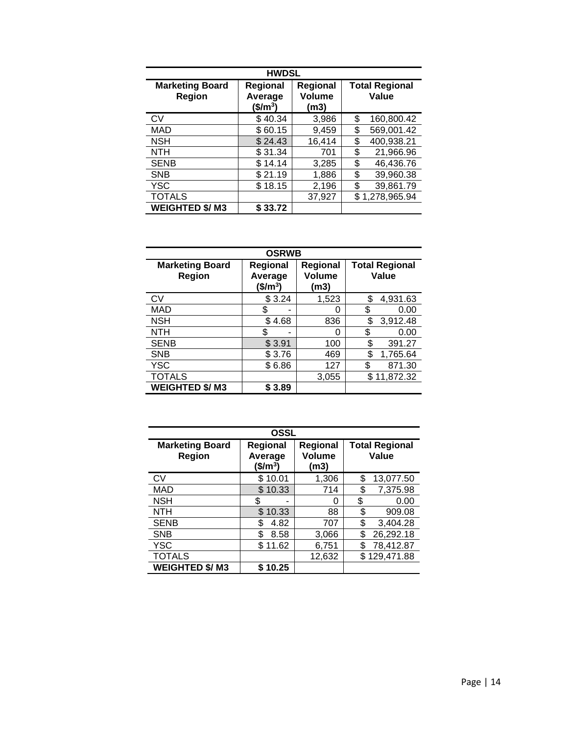| <b>HWDSL</b>                     |                                             |                                   |                                |                |  |  |
|----------------------------------|---------------------------------------------|-----------------------------------|--------------------------------|----------------|--|--|
| <b>Marketing Board</b><br>Region | Regional<br>Average<br>(\$/m <sup>3</sup> ) | <b>Regional</b><br>Volume<br>(m3) | <b>Total Regional</b><br>Value |                |  |  |
| <b>CV</b>                        | \$40.34                                     | 3,986                             | S                              | 160,800.42     |  |  |
| MAD                              | \$60.15                                     | 9,459                             | \$                             | 569,001.42     |  |  |
| <b>NSH</b>                       | \$24.43                                     | 16,414                            | \$                             | 400,938.21     |  |  |
| <b>NTH</b>                       | \$31.34                                     | 701                               | \$                             | 21,966.96      |  |  |
| <b>SENB</b>                      | \$14.14                                     | 3,285                             | \$                             | 46,436.76      |  |  |
| <b>SNB</b>                       | \$21.19                                     | 1,886                             | \$                             | 39,960.38      |  |  |
| <b>YSC</b>                       | \$18.15                                     | 2,196                             | \$                             | 39,861.79      |  |  |
| <b>TOTALS</b>                    |                                             | 37,927                            |                                | \$1,278,965.94 |  |  |
| <b>WEIGHTED \$/M3</b>            | \$33.72                                     |                                   |                                |                |  |  |

| <b>OSRWB</b>                     |                                  |                                   |                                |  |
|----------------------------------|----------------------------------|-----------------------------------|--------------------------------|--|
| <b>Marketing Board</b><br>Region | Regional<br>Average<br>$($/m^3)$ | Regional<br><b>Volume</b><br>(m3) | <b>Total Regional</b><br>Value |  |
| <b>CV</b>                        | \$3.24                           | 1,523                             | 4,931.63<br>\$                 |  |
| <b>MAD</b>                       | \$                               | O                                 | 0.00<br>S                      |  |
| <b>NSH</b>                       | \$4.68                           | 836                               | 3,912.48<br>\$                 |  |
| <b>NTH</b>                       | \$                               | 0                                 | 0.00<br>\$                     |  |
| <b>SENB</b>                      | \$3.91                           | 100                               | \$<br>391.27                   |  |
| <b>SNB</b>                       | \$3.76                           | 469                               | \$<br>1,765.64                 |  |
| <b>YSC</b>                       | \$6.86                           | 127                               | \$<br>871.30                   |  |
| <b>TOTALS</b>                    |                                  | 3,055                             | \$11,872.32                    |  |
| <b>WEIGHTED \$/M3</b>            | \$ 3.89                          |                                   |                                |  |

| <b>OSSL</b>                             |                                  |                            |                                |
|-----------------------------------------|----------------------------------|----------------------------|--------------------------------|
| <b>Marketing Board</b><br><b>Region</b> | Regional<br>Average<br>$($/m^3)$ | Regional<br>Volume<br>(m3) | <b>Total Regional</b><br>Value |
| CV                                      | \$10.01                          | 1,306                      | \$<br>13,077.50                |
| MAD                                     | \$10.33                          | 714                        | \$<br>7,375.98                 |
| <b>NSH</b>                              | S.                               | ი                          | \$<br>0.00                     |
| <b>NTH</b>                              | 10.33<br>\$.                     | 88                         | \$<br>909.08                   |
| <b>SENB</b>                             | \$<br>4.82                       | 707                        | \$<br>3,404.28                 |
| <b>SNB</b>                              | \$<br>8.58                       | 3,066                      | \$<br>26,292.18                |
| <b>YSC</b>                              | \$.<br>11.62                     | 6,751                      | 78,412.87<br>\$                |
| <b>TOTALS</b>                           |                                  | 12,632                     | \$129,471.88                   |
| <b>WEIGHTED \$/M3</b>                   | 10.25                            |                            |                                |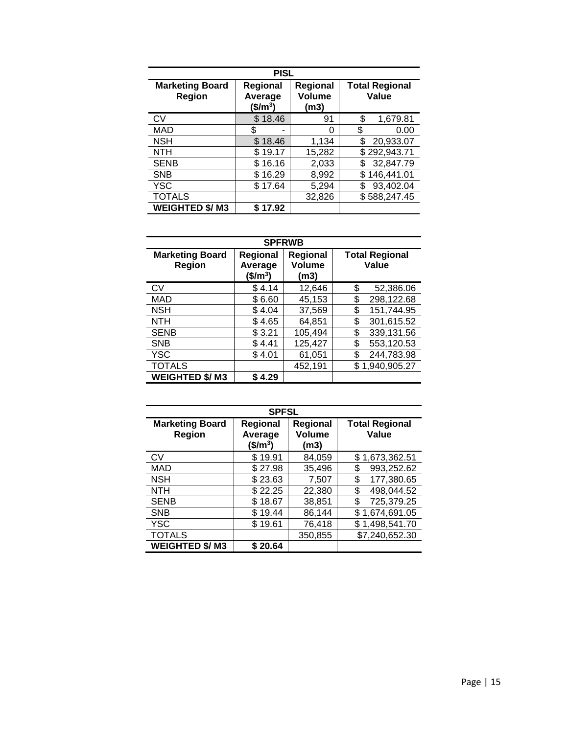| <b>PISL</b>                             |                                 |                            |                                |  |
|-----------------------------------------|---------------------------------|----------------------------|--------------------------------|--|
| <b>Marketing Board</b><br><b>Region</b> | Regional<br>Average<br>$$/m^3$$ | Regional<br>Volume<br>(m3) | <b>Total Regional</b><br>Value |  |
| CV                                      | \$18.46                         | 91                         | \$<br>1,679.81                 |  |
| MAD                                     | S<br>-                          | 0                          | \$<br>0.00                     |  |
| <b>NSH</b>                              | \$18.46                         | 1,134                      | 20,933.07                      |  |
| <b>NTH</b>                              | \$19.17                         | 15,282                     | \$292,943.71                   |  |
| <b>SENB</b>                             | \$16.16                         | 2,033                      | 32,847.79                      |  |
| <b>SNB</b>                              | \$16.29                         | 8,992                      | \$146,441.01                   |  |
| <b>YSC</b>                              | \$17.64                         | 5,294                      | 93,402.04                      |  |
| <b>TOTALS</b>                           |                                 | 32,826                     | \$588,247.45                   |  |
| <b>WEIGHTED \$/M3</b>                   | \$ 17.92                        |                            |                                |  |

| <b>SPFRWB</b>                    |                                             |                            |                                |  |
|----------------------------------|---------------------------------------------|----------------------------|--------------------------------|--|
| <b>Marketing Board</b><br>Region | Regional<br>Average<br>(\$/m <sup>3</sup> ) | Regional<br>Volume<br>(m3) | <b>Total Regional</b><br>Value |  |
| CV                               | \$4.14                                      | 12,646                     | 52,386.06<br>\$                |  |
| <b>MAD</b>                       | \$6.60                                      | 45,153                     | 298,122.68<br>\$               |  |
| <b>NSH</b>                       | \$4.04                                      | 37,569                     | 151,744.95<br>\$               |  |
| <b>NTH</b>                       | \$4.65                                      | 64,851                     | \$<br>301,615.52               |  |
| <b>SENB</b>                      | \$3.21                                      | 105,494                    | \$<br>339,131.56               |  |
| <b>SNB</b>                       | \$4.41                                      | 125,427                    | \$<br>553,120.53               |  |
| <b>YSC</b>                       | \$4.01                                      | 61,051                     | 244,783.98<br>\$               |  |
| <b>TOTALS</b>                    |                                             | 452,191                    | \$1,940,905.27                 |  |
| <b>WEIGHTED \$/M3</b>            | \$ 4.29                                     |                            |                                |  |

| <b>SPFSL</b>                     |                                        |                                   |                                |  |
|----------------------------------|----------------------------------------|-----------------------------------|--------------------------------|--|
| <b>Marketing Board</b><br>Region | <b>Regional</b><br>Average<br>$$/m^3$$ | <b>Regional</b><br>Volume<br>(m3) | <b>Total Regional</b><br>Value |  |
| <b>CV</b>                        | \$19.91                                | 84,059                            | \$1,673,362.51                 |  |
| <b>MAD</b>                       | \$27.98                                | 35,496                            | 993,252.62<br>\$               |  |
| <b>NSH</b>                       | \$23.63                                | 7,507                             | 177,380.65<br>\$               |  |
| <b>NTH</b>                       | \$22.25                                | 22,380                            | 498,044.52<br>\$               |  |
| <b>SENB</b>                      | \$18.67                                | 38,851                            | 725,379.25<br>\$               |  |
| <b>SNB</b>                       | \$19.44                                | 86,144                            | \$1,674,691.05                 |  |
| <b>YSC</b>                       | \$19.61                                | 76,418                            | \$1,498,541.70                 |  |
| <b>TOTALS</b>                    |                                        | 350,855                           | \$7,240,652.30                 |  |
| <b>WEIGHTED \$/M3</b>            | \$20.64                                |                                   |                                |  |